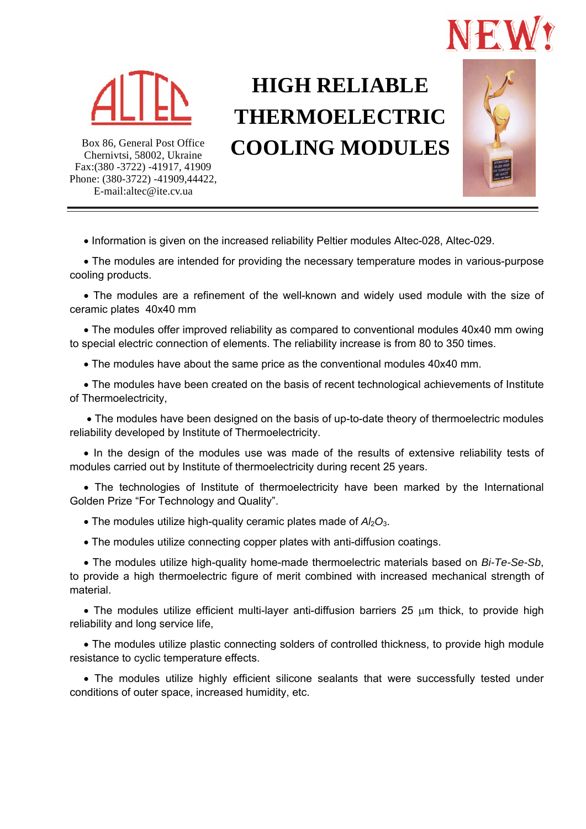



# **HIGH RELIABLE THERMOELECTRIC COOLING MODULES**



Box 86, General Post Office Chernivtsi, 58002, Ukraine Fax:(380 -3722) -41917, 41909 Phone: (380-3722) -41909,44422, E-mail:altec@ite.cv.ua

• Information is given on the increased reliability Peltier modules Altec-028, Altec-029.

 The modules are intended for providing the necessary temperature modes in various-purpose cooling products.

 The modules are a refinement of the well-known and widely used module with the size of ceramic plates 40x40 mm

 The modules offer improved reliability as compared to conventional modules 40x40 mm owing to special electric connection of elements. The reliability increase is from 80 to 350 times.

The modules have about the same price as the conventional modules 40x40 mm.

 The modules have been created on the basis of recent technological achievements of Institute of Thermoelectricity,

 The modules have been designed on the basis of up-to-date theory of thermoelectric modules reliability developed by Institute of Thermoelectricity.

• In the design of the modules use was made of the results of extensive reliability tests of modules carried out by Institute of thermoelectricity during recent 25 years.

 The technologies of Institute of thermoelectricity have been marked by the International Golden Prize "For Technology and Quality".

- $\bullet$  The modules utilize high-quality ceramic plates made of  $A/2O_3$ .
- The modules utilize connecting copper plates with anti-diffusion coatings.

 The modules utilize high-quality home-made thermoelectric materials based on *Bi-Te-Se-Sb*, to provide a high thermoelectric figure of merit combined with increased mechanical strength of material.

 $\bullet$  The modules utilize efficient multi-layer anti-diffusion barriers 25  $\mu$ m thick, to provide high reliability and long service life,

 The modules utilize plastic connecting solders of controlled thickness, to provide high module resistance to cyclic temperature effects.

 The modules utilize highly efficient silicone sealants that were successfully tested under conditions of outer space, increased humidity, etc.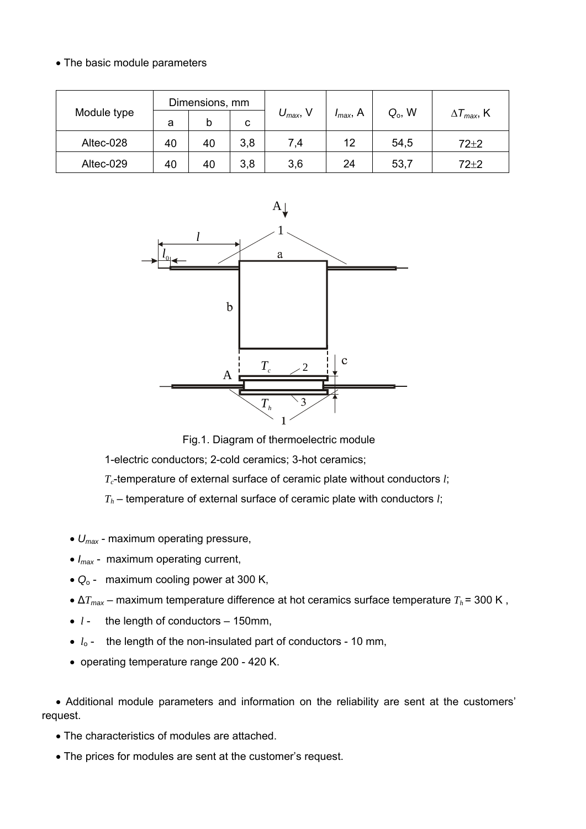### • The basic module parameters

| Module type | Dimensions, mm |    |     |                      |               |           |                             |
|-------------|----------------|----|-----|----------------------|---------------|-----------|-----------------------------|
|             | а              | b  | C   | $U_{\text{max}}$ , V | $I_{max}$ , A | $Q_0$ , W | $\Delta T_{\text{max}}$ , K |
| Altec-028   | 40             | 40 | 3,8 | 7,4                  | 12            | 54,5      | $72 + 2$                    |
| Altec-029   | 40             | 40 | 3,8 | 3,6                  | 24            | 53,7      | $72+2$                      |



Fig.1. Diagram of thermoelectric module

1-electric conductors; 2-cold ceramics; 3-hot ceramics;

*T<sub>c</sub>*-temperature of external surface of ceramic plate without conductors *l*;

*Th* – temperature of external surface of ceramic plate with conductors *l*;

- *Umax* maximum operating pressure,
- $I_{\text{max}}$  maximum operating current,
- $\bullet$   $Q_0$  maximum cooling power at 300 K,
- $\Delta T_{\text{max}}$  maximum temperature difference at hot ceramics surface temperature  $T_h$  = 300 K,
- $l$  the length of conductors 150mm,
- $\bullet$   $l_0$  the length of the non-insulated part of conductors 10 mm,
- operating temperature range 200 420 K.

 Additional module parameters and information on the reliability are sent at the customers' request.

- The characteristics of modules are attached.
- The prices for modules are sent at the customer's request.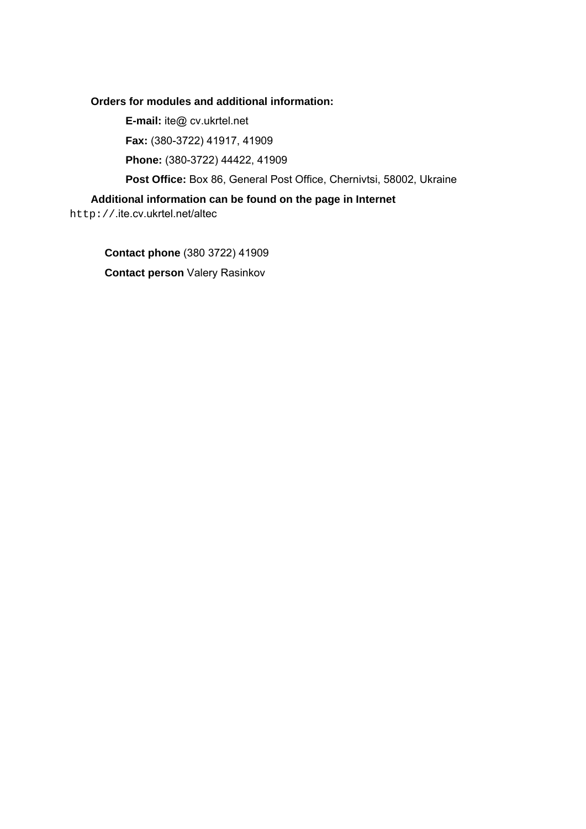#### **Orders for modules and additional information:**

**E-mail:** ite@ cv.ukrtel.net

**Fax:** (380-3722) 41917, 41909

**Phone:** (380-3722) 44422, 41909

**Post Office:** Box 86, General Post Office, Chernivtsi, 58002, Ukraine

#### **Additional information can be found on the page in Internet**

http://.ite.cv.ukrtel.net/altec

**Contact phone** (380 3722) 41909 **Contact person** Valery Rasinkov